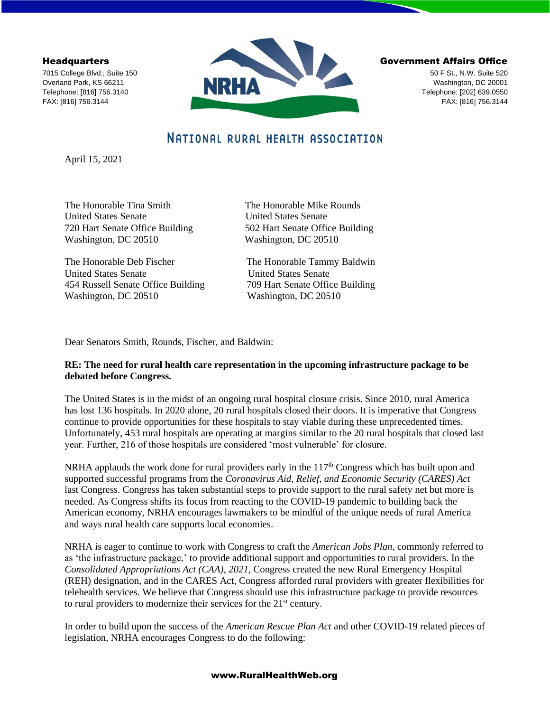**Headquarters** 

7015 College Blvd.; Suite 150 Overland Park, KS 66211 Telephone: [816] 756.3140 FAX: [816] 756.3144



#### Government Affairs Office

50 F St., N.W. Suite 520 Washington, DC 20001 Telephone: [202] 639.0550 FAX: [816] 756.3144

# NATIONAL RURAL HEALTH ASSOCIATION

April 15, 2021

United States Senate United States Senate 720 Hart Senate Office Building 502 Hart Senate Office Building Washington, DC 20510 Washington, DC 20510

The Honorable Deb Fischer The Honorable Tammy Baldwin United States Senate United States Senate 454 Russell Senate Office Building 709 Hart Senate Office Building Washington, DC 20510 Washington, DC 20510

The Honorable Tina Smith The Honorable Mike Rounds

Dear Senators Smith, Rounds, Fischer, and Baldwin:

# **RE: The need for rural health care representation in the upcoming infrastructure package to be debated before Congress.**

The United States is in the midst of an ongoing rural hospital closure crisis. Since 2010, rural America has lost 136 hospitals. In 2020 alone, 20 rural hospitals closed their doors. It is imperative that Congress continue to provide opportunities for these hospitals to stay viable during these unprecedented times. Unfortunately, 453 rural hospitals are operating at margins similar to the 20 rural hospitals that closed last year. Further, 216 of those hospitals are considered 'most vulnerable' for closure.

NRHA applauds the work done for rural providers early in the  $117<sup>th</sup>$  Congress which has built upon and supported successful programs from the *Coronavirus Aid, Relief, and Economic Security (CARES) Act* last Congress. Congress has taken substantial steps to provide support to the rural safety net but more is needed. As Congress shifts its focus from reacting to the COVID-19 pandemic to building back the American economy, NRHA encourages lawmakers to be mindful of the unique needs of rural America and ways rural health care supports local economies.

NRHA is eager to continue to work with Congress to craft the *American Jobs Plan,* commonly referred to as 'the infrastructure package,' to provide additional support and opportunities to rural providers. In the *Consolidated Appropriations Act (CAA), 2021*, Congress created the new Rural Emergency Hospital (REH) designation, and in the CARES Act, Congress afforded rural providers with greater flexibilities for telehealth services. We believe that Congress should use this infrastructure package to provide resources to rural providers to modernize their services for the 21<sup>st</sup> century.

In order to build upon the success of the *American Rescue Plan Act* and other COVID-19 related pieces of legislation, NRHA encourages Congress to do the following:

## www.RuralHealthWeb.org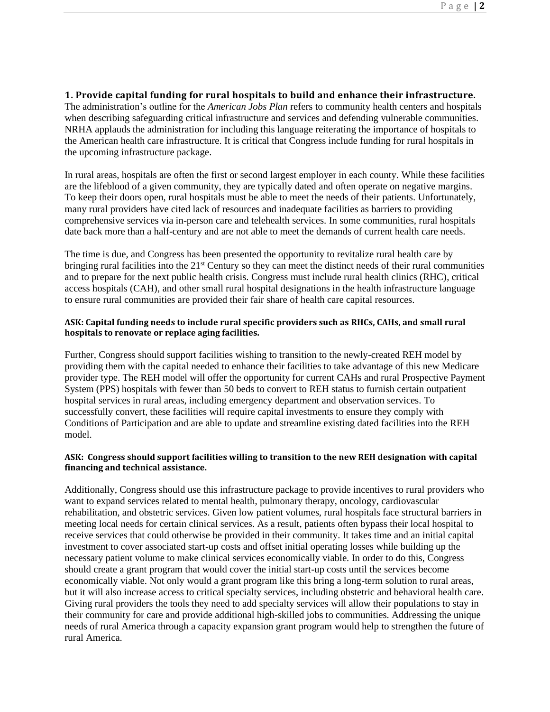### **1. Provide capital funding for rural hospitals to build and enhance their infrastructure.**

The administration's outline for the *American Jobs Plan* refers to community health centers and hospitals when describing safeguarding critical infrastructure and services and defending vulnerable communities. NRHA applauds the administration for including this language reiterating the importance of hospitals to the American health care infrastructure. It is critical that Congress include funding for rural hospitals in the upcoming infrastructure package.

In rural areas, hospitals are often the first or second largest employer in each county. While these facilities are the lifeblood of a given community, they are typically dated and often operate on negative margins. To keep their doors open, rural hospitals must be able to meet the needs of their patients. Unfortunately, many rural providers have cited lack of resources and inadequate facilities as barriers to providing comprehensive services via in-person care and telehealth services. In some communities, rural hospitals date back more than a half-century and are not able to meet the demands of current health care needs.

The time is due, and Congress has been presented the opportunity to revitalize rural health care by bringing rural facilities into the 21<sup>st</sup> Century so they can meet the distinct needs of their rural communities and to prepare for the next public health crisis. Congress must include rural health clinics (RHC), critical access hospitals (CAH), and other small rural hospital designations in the health infrastructure language to ensure rural communities are provided their fair share of health care capital resources.

#### **ASK: Capital funding needs to include rural specific providers such as RHCs, CAHs, and small rural hospitals to renovate or replace aging facilities.**

Further, Congress should support facilities wishing to transition to the newly-created REH model by providing them with the capital needed to enhance their facilities to take advantage of this new Medicare provider type. The REH model will offer the opportunity for current CAHs and rural Prospective Payment System (PPS) hospitals with fewer than 50 beds to convert to REH status to furnish certain outpatient hospital services in rural areas, including emergency department and observation services. To successfully convert, these facilities will require capital investments to ensure they comply with Conditions of Participation and are able to update and streamline existing dated facilities into the REH model.

#### **ASK: Congress should support facilities willing to transition to the new REH designation with capital financing and technical assistance.**

Additionally, Congress should use this infrastructure package to provide incentives to rural providers who want to expand services related to mental health, pulmonary therapy, oncology, cardiovascular rehabilitation, and obstetric services. Given low patient volumes, rural hospitals face structural barriers in meeting local needs for certain clinical services. As a result, patients often bypass their local hospital to receive services that could otherwise be provided in their community. It takes time and an initial capital investment to cover associated start-up costs and offset initial operating losses while building up the necessary patient volume to make clinical services economically viable. In order to do this, Congress should create a grant program that would cover the initial start-up costs until the services become economically viable. Not only would a grant program like this bring a long-term solution to rural areas, but it will also increase access to critical specialty services, including obstetric and behavioral health care. Giving rural providers the tools they need to add specialty services will allow their populations to stay in their community for care and provide additional high-skilled jobs to communities. Addressing the unique needs of rural America through a capacity expansion grant program would help to strengthen the future of rural America.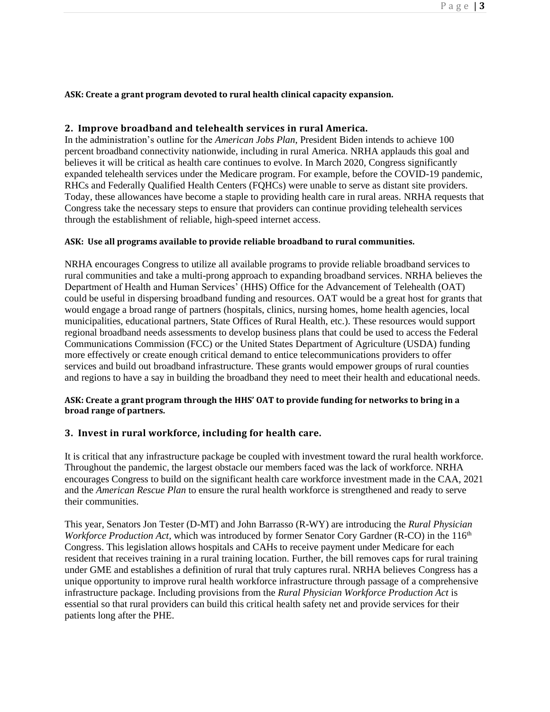#### **ASK: Create a grant program devoted to rural health clinical capacity expansion.**

#### **2. Improve broadband and telehealth services in rural America.**

In the administration's outline for the *American Jobs Plan*, President Biden intends to achieve 100 percent broadband connectivity nationwide, including in rural America. NRHA applauds this goal and believes it will be critical as health care continues to evolve. In March 2020, Congress significantly expanded telehealth services under the Medicare program. For example, before the COVID-19 pandemic, RHCs and Federally Qualified Health Centers (FQHCs) were unable to serve as distant site providers. Today, these allowances have become a staple to providing health care in rural areas. NRHA requests that Congress take the necessary steps to ensure that providers can continue providing telehealth services through the establishment of reliable, high-speed internet access.

#### **ASK: Use all programs available to provide reliable broadband to rural communities.**

NRHA encourages Congress to utilize all available programs to provide reliable broadband services to rural communities and take a multi-prong approach to expanding broadband services. NRHA believes the Department of Health and Human Services' (HHS) Office for the Advancement of Telehealth (OAT) could be useful in dispersing broadband funding and resources. OAT would be a great host for grants that would engage a broad range of partners (hospitals, clinics, nursing homes, home health agencies, local municipalities, educational partners, State Offices of Rural Health, etc.). These resources would support regional broadband needs assessments to develop business plans that could be used to access the Federal Communications Commission (FCC) or the United States Department of Agriculture (USDA) funding more effectively or create enough critical demand to entice telecommunications providers to offer services and build out broadband infrastructure. These grants would empower groups of rural counties and regions to have a say in building the broadband they need to meet their health and educational needs.

## **ASK: Create a grant program through the HHS' OAT to provide funding for networks to bring in a broad range of partners.**

### **3. Invest in rural workforce, including for health care.**

It is critical that any infrastructure package be coupled with investment toward the rural health workforce. Throughout the pandemic, the largest obstacle our members faced was the lack of workforce. NRHA encourages Congress to build on the significant health care workforce investment made in the CAA, 2021 and the *American Rescue Plan* to ensure the rural health workforce is strengthened and ready to serve their communities.

This year, Senators Jon Tester (D-MT) and John Barrasso (R-WY) are introducing the *Rural Physician Workforce Production Act*, which was introduced by former Senator Cory Gardner (R-CO) in the 116<sup>th</sup> Congress. This legislation allows hospitals and CAHs to receive payment under Medicare for each resident that receives training in a rural training location. Further, the bill removes caps for rural training under GME and establishes a definition of rural that truly captures rural. NRHA believes Congress has a unique opportunity to improve rural health workforce infrastructure through passage of a comprehensive infrastructure package. Including provisions from the *Rural Physician Workforce Production Act* is essential so that rural providers can build this critical health safety net and provide services for their patients long after the PHE.